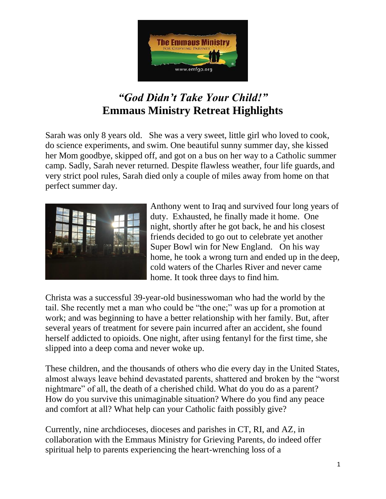

# *"God Didn't Take Your Child!"* **Emmaus Ministry Retreat Highlights**

Sarah was only 8 years old. She was a very sweet, little girl who loved to cook, do science experiments, and swim. One beautiful sunny summer day, she kissed her Mom goodbye, skipped off, and got on a bus on her way to a Catholic summer camp. Sadly, Sarah never returned. Despite flawless weather, four life guards, and very strict pool rules, Sarah died only a couple of miles away from home on that perfect summer day.



Anthony went to Iraq and survived four long years of duty. Exhausted, he finally made it home. One night, shortly after he got back, he and his closest friends decided to go out to celebrate yet another Super Bowl win for New England. On his way home, he took a wrong turn and ended up in the deep, cold waters of the Charles River and never came home. It took three days to find him.

Christa was a successful 39-year-old businesswoman who had the world by the tail. She recently met a man who could be "the one;" was up for a promotion at work; and was beginning to have a better relationship with her family. But, after several years of treatment for severe pain incurred after an accident, she found herself addicted to opioids. One night, after using fentanyl for the first time, she slipped into a deep coma and never woke up.

These children, and the thousands of others who die every day in the United States, almost always leave behind devastated parents, shattered and broken by the "worst nightmare" of all, the death of a cherished child. What do you do as a parent? How do you survive this unimaginable situation? Where do you find any peace and comfort at all? What help can your Catholic faith possibly give?

Currently, nine archdioceses, dioceses and parishes in CT, RI, and AZ, in collaboration with the Emmaus Ministry for Grieving Parents, do indeed offer spiritual help to parents experiencing the heart-wrenching loss of a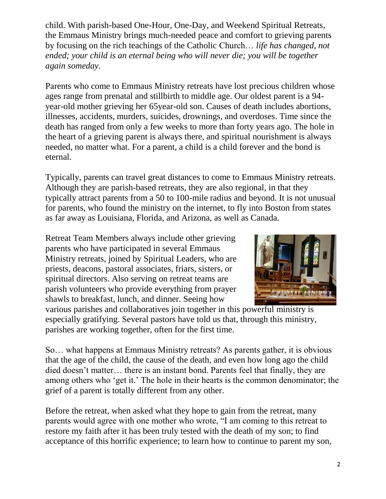child. With parish-based One-Hour, One-Day, and Weekend Spiritual Retreats, the Emmaus Ministry brings much-needed peace and comfort to grieving parents by focusing on the rich teachings of the Catholic Church… *life has changed, not ended; your child is an eternal being who will never die; you will be together again someday.*

Parents who come to Emmaus Ministry retreats have lost precious children whose ages range from prenatal and stillbirth to middle age. Our oldest parent is a 94 year-old mother grieving her 65year-old son. Causes of death includes abortions, illnesses, accidents, murders, suicides, drownings, and overdoses. Time since the death has ranged from only a few weeks to more than forty years ago. The hole in the heart of a grieving parent is always there, and spiritual nourishment is always needed, no matter what. For a parent, a child is a child forever and the bond is eternal.

Typically, parents can travel great distances to come to Emmaus Ministry retreats. Although they are parish-based retreats, they are also regional, in that they typically attract parents from a 50 to 100-mile radius and beyond. It is not unusual for parents, who found the ministry on the internet, to fly into Boston from states as far away as Louisiana, Florida, and Arizona, as well as Canada.

Retreat Team Members always include other grieving parents who have participated in several Emmaus Ministry retreats, joined by Spiritual Leaders, who are priests, deacons, pastoral associates, friars, sisters, or spiritual directors. Also serving on retreat teams are parish volunteers who provide everything from prayer shawls to breakfast, lunch, and dinner. Seeing how



various parishes and collaboratives join together in this powerful ministry is especially gratifying. Several pastors have told us that, through this ministry, parishes are working together, often for the first time.

So… what happens at Emmaus Ministry retreats? As parents gather, it is obvious that the age of the child, the cause of the death, and even how long ago the child died doesn't matter… there is an instant bond. Parents feel that finally, they are among others who 'get it.' The hole in their hearts is the common denominator; the grief of a parent is totally different from any other.

Before the retreat, when asked what they hope to gain from the retreat, many parents would agree with one mother who wrote, "I am coming to this retreat to restore my faith after it has been truly tested with the death of my son; to find acceptance of this horrific experience; to learn how to continue to parent my son,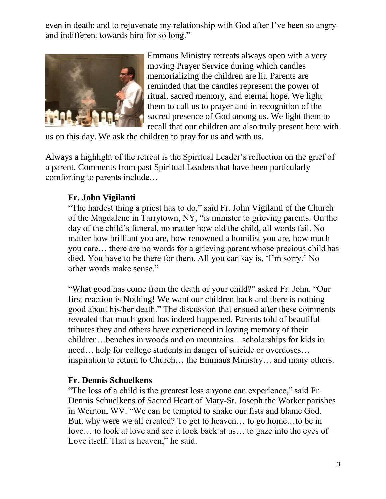even in death; and to rejuvenate my relationship with God after I've been so angry and indifferent towards him for so long."



Emmaus Ministry retreats always open with a very moving Prayer Service during which candles memorializing the children are lit. Parents are reminded that the candles represent the power of ritual, sacred memory, and eternal hope. We light them to call us to prayer and in recognition of the sacred presence of God among us. We light them to recall that our children are also truly present here with

us on this day. We ask the children to pray for us and with us.

Always a highlight of the retreat is the Spiritual Leader's reflection on the grief of a parent. Comments from past Spiritual Leaders that have been particularly comforting to parents include…

#### **Fr. John Vigilanti**

"The hardest thing a priest has to do," said Fr. John Vigilanti of the Church of the Magdalene in Tarrytown, NY, "is minister to grieving parents. On the day of the child's funeral, no matter how old the child, all words fail. No matter how brilliant you are, how renowned a homilist you are, how much you care… there are no words for a grieving parent whose precious child has died. You have to be there for them. All you can say is, 'I'm sorry.' No other words make sense."

"What good has come from the death of your child?" asked Fr. John. "Our first reaction is Nothing! We want our children back and there is nothing good about his/her death." The discussion that ensued after these comments revealed that much good has indeed happened. Parents told of beautiful tributes they and others have experienced in loving memory of their children…benches in woods and on mountains…scholarships for kids in need… help for college students in danger of suicide or overdoses… inspiration to return to Church… the Emmaus Ministry… and many others.

#### **Fr. Dennis Schuelkens**

"The loss of a child is the greatest loss anyone can experience," said Fr. Dennis Schuelkens of Sacred Heart of Mary-St. Joseph the Worker parishes in Weirton, WV. "We can be tempted to shake our fists and blame God. But, why were we all created? To get to heaven… to go home…to be in love… to look at love and see it look back at us… to gaze into the eyes of Love itself. That is heaven," he said.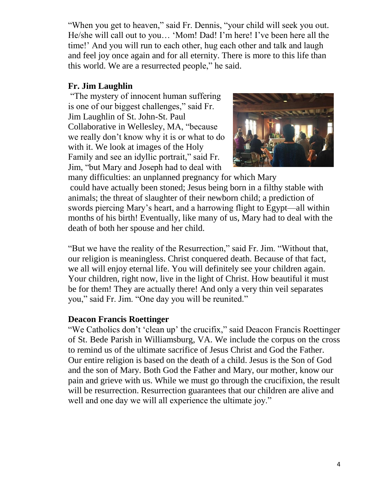"When you get to heaven," said Fr. Dennis, "your child will seek you out. He/she will call out to you… 'Mom! Dad! I'm here! I've been here all the time!' And you will run to each other, hug each other and talk and laugh and feel joy once again and for all eternity. There is more to this life than this world. We are a resurrected people," he said.

### **Fr. Jim Laughlin**

"The mystery of innocent human suffering is one of our biggest challenges," said Fr. Jim Laughlin of St. John-St. Paul Collaborative in Wellesley, MA, "because we really don't know why it is or what to do with it. We look at images of the Holy Family and see an idyllic portrait," said Fr. Jim, "but Mary and Joseph had to deal with



many difficulties: an unplanned pregnancy for which Mary could have actually been stoned; Jesus being born in a filthy stable with animals; the threat of slaughter of their newborn child; a prediction of swords piercing Mary's heart, and a harrowing flight to Egypt—all within months of his birth! Eventually, like many of us, Mary had to deal with the death of both her spouse and her child.

"But we have the reality of the Resurrection," said Fr. Jim. "Without that, our religion is meaningless. Christ conquered death. Because of that fact, we all will enjoy eternal life. You will definitely see your children again. Your children, right now, live in the light of Christ. How beautiful it must be for them! They are actually there! And only a very thin veil separates you," said Fr. Jim. "One day you will be reunited."

#### **Deacon Francis Roettinger**

"We Catholics don't 'clean up' the crucifix," said Deacon Francis Roettinger of St. Bede Parish in Williamsburg, VA. We include the corpus on the cross to remind us of the ultimate sacrifice of Jesus Christ and God the Father. Our entire religion is based on the death of a child. Jesus is the Son of God and the son of Mary. Both God the Father and Mary, our mother, know our pain and grieve with us. While we must go through the crucifixion, the result will be resurrection. Resurrection guarantees that our children are alive and well and one day we will all experience the ultimate joy."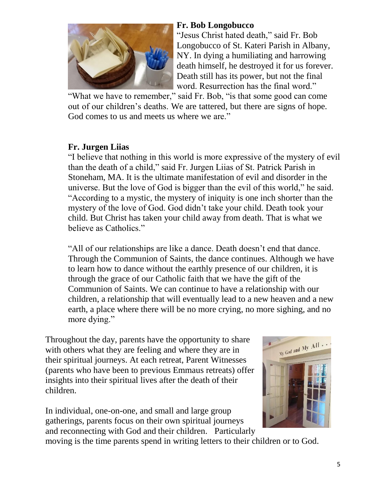

#### **Fr. Bob Longobucco**

"Jesus Christ hated death," said Fr. Bob Longobucco of St. Kateri Parish in Albany, NY. In dying a humiliating and harrowing death himself, he destroyed it for us forever. Death still has its power, but not the final word. Resurrection has the final word."

"What we have to remember," said Fr. Bob, "is that some good can come out of our children's deaths. We are tattered, but there are signs of hope. God comes to us and meets us where we are."

## **Fr. Jurgen Liias**

"I believe that nothing in this world is more expressive of the mystery of evil than the death of a child," said Fr. Jurgen Liias of St. Patrick Parish in Stoneham, MA. It is the ultimate manifestation of evil and disorder in the universe. But the love of God is bigger than the evil of this world," he said. "According to a mystic, the mystery of iniquity is one inch shorter than the mystery of the love of God. God didn't take your child. Death took your child. But Christ has taken your child away from death. That is what we believe as Catholics."

"All of our relationships are like a dance. Death doesn't end that dance. Through the Communion of Saints, the dance continues. Although we have to learn how to dance without the earthly presence of our children, it is through the grace of our Catholic faith that we have the gift of the Communion of Saints. We can continue to have a relationship with our children, a relationship that will eventually lead to a new heaven and a new earth, a place where there will be no more crying, no more sighing, and no more dying."

Throughout the day, parents have the opportunity to share with others what they are feeling and where they are in their spiritual journeys. At each retreat, Parent Witnesses (parents who have been to previous Emmaus retreats) offer insights into their spiritual lives after the death of their children.

In individual, one-on-one, and small and large group gatherings, parents focus on their own spiritual journeys and reconnecting with God and their children. Particularly



moving is the time parents spend in writing letters to their children or to God.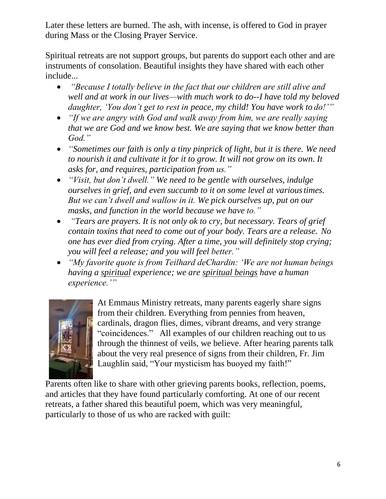Later these letters are burned. The ash, with incense, is offered to God in prayer during Mass or the Closing Prayer Service.

Spiritual retreats are not support groups, but parents do support each other and are instruments of consolation. Beautiful insights they have shared with each other include...

- *"Because I totally believe in the fact that our children are still alive and well and at work in our lives—with much work to do--I have told my beloved daughter, 'You don't get to rest in peace, my child! You have work to do!'"*
- *"If we are angry with God and walk away from him, we are really saying that we are God and we know best. We are saying that we know better than God."*
- *"Sometimes our faith is only a tiny pinprick of light, but it is there. We need to nourish it and cultivate it for it to grow. It will not grow on its own. It asks for, and requires, participation from us."*
- *"Visit, but don't dwell." We need to be gentle with ourselves, indulge ourselves in grief, and even succumb to it on some level at varioustimes. But we can't dwell and wallow in it. We pick ourselves up, put on our masks, and function in the world because we have to."*
- *"Tears are prayers. It is not only ok to cry, but necessary. Tears of grief contain toxins that need to come out of your body. Tears are a release. No one has ever died from crying. After a time, you will definitely stop crying; you will feel a release; and you will feel better."*
- *"My favorite quote is from Teilhard deChardin: 'We are not human beings having a spiritual experience; we are spiritual beings have a human experience.'"*



At Emmaus Ministry retreats, many parents eagerly share signs from their children. Everything from pennies from heaven, cardinals, dragon flies, dimes, vibrant dreams, and very strange "coincidences." All examples of our children reaching out to us through the thinnest of veils, we believe. After hearing parents talk about the very real presence of signs from their children, Fr. Jim Laughlin said, "Your mysticism has buoyed my faith!"

Parents often like to share with other grieving parents books, reflection, poems, and articles that they have found particularly comforting. At one of our recent retreats, a father shared this beautiful poem, which was very meaningful, particularly to those of us who are racked with guilt: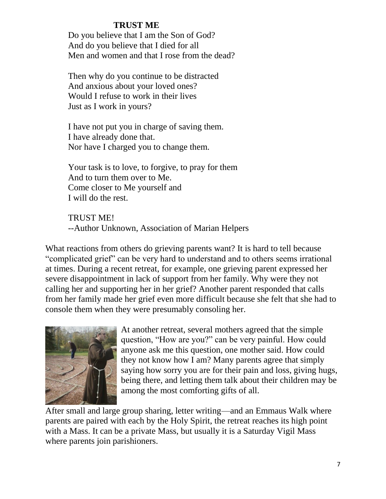#### **TRUST ME**

Do you believe that I am the Son of God? And do you believe that I died for all Men and women and that I rose from the dead?

Then why do you continue to be distracted And anxious about your loved ones? Would I refuse to work in their lives Just as I work in yours?

I have not put you in charge of saving them. I have already done that. Nor have I charged you to change them.

Your task is to love, to forgive, to pray for them And to turn them over to Me. Come closer to Me yourself and I will do the rest.

TRUST ME! --Author Unknown, Association of Marian Helpers

What reactions from others do grieving parents want? It is hard to tell because "complicated grief" can be very hard to understand and to others seems irrational at times. During a recent retreat, for example, one grieving parent expressed her severe disappointment in lack of support from her family. Why were they not calling her and supporting her in her grief? Another parent responded that calls from her family made her grief even more difficult because she felt that she had to console them when they were presumably consoling her.



At another retreat, several mothers agreed that the simple question, "How are you?" can be very painful. How could anyone ask me this question, one mother said. How could they not know how I am? Many parents agree that simply saying how sorry you are for their pain and loss, giving hugs, being there, and letting them talk about their children may be among the most comforting gifts of all.

After small and large group sharing, letter writing—and an Emmaus Walk where parents are paired with each by the Holy Spirit, the retreat reaches its high point with a Mass. It can be a private Mass, but usually it is a Saturday Vigil Mass where parents join parishioners.